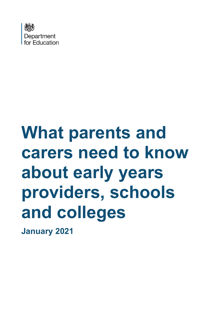

# **What parents and carers need to know about early years providers, schools and colleges**

**January 2021**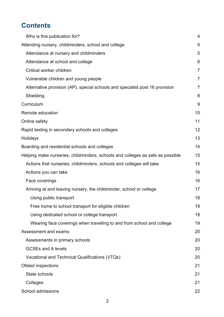## **Contents**

| Who is this publication for?                                                   | $\overline{4}$ |
|--------------------------------------------------------------------------------|----------------|
| Attending nursery, childminders, school and college                            | 5              |
| Attendance at nursery and childminders                                         | 5              |
| Attendance at school and college                                               | 6              |
| Critical worker children                                                       | $\overline{7}$ |
| Vulnerable children and young people                                           | $\overline{7}$ |
| Alternative provision (AP), special schools and specialist post 16 provision   | $\overline{7}$ |
| Shielding                                                                      | 8              |
| Curriculum                                                                     | 9              |
| Remote education                                                               | 10             |
| Online safety                                                                  | 11             |
| Rapid testing in secondary schools and colleges                                |                |
| Holidays                                                                       | 13             |
| Boarding and residential schools and colleges                                  | 14             |
| Helping make nurseries, childminders, schools and colleges as safe as possible | 15             |
| Actions that nurseries, childminders, schools and colleges will take           | 15             |
| Actions you can take                                                           | 16             |
| Face coverings                                                                 | 16             |
| Arriving at and leaving nursery, the childminder, school or college            | 17             |
| Using public transport                                                         | 18             |
| Free home to school transport for eligible children                            |                |
| Using dedicated school or college transport                                    | 18             |
| Wearing face coverings when travelling to and from school and college          | 19             |
| Assessment and exams                                                           | 20             |
| Assessments in primary schools                                                 | 20             |
| <b>GCSEs and A levels</b>                                                      | 20             |
| Vocational and Technical Qualifications (VTQs)                                 | 20             |
| Ofsted inspections                                                             | 21             |
| State schools                                                                  |                |
| Colleges                                                                       | 21             |
| School admissions                                                              | 22             |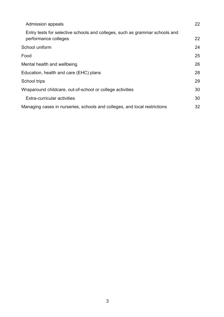| <b>Admission appeals</b>                                                                            | 22 |
|-----------------------------------------------------------------------------------------------------|----|
| Entry tests for selective schools and colleges, such as grammar schools and<br>performance colleges | 22 |
| School uniform                                                                                      | 24 |
| Food                                                                                                | 25 |
| Mental health and wellbeing                                                                         |    |
| Education, health and care (EHC) plans                                                              |    |
| School trips                                                                                        | 29 |
| Wraparound childcare, out-of-school or college activities                                           | 30 |
| Extra-curricular activities                                                                         | 30 |
| Managing cases in nurseries, schools and colleges, and local restrictions                           | 32 |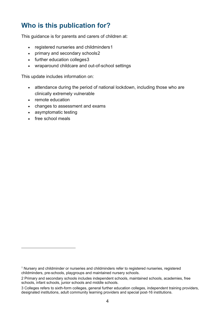## <span id="page-3-0"></span>**Who is this publication for?**

This guidance is for parents and carers of children at:

- registered nurseries and childminders[1](#page-3-1)
- primary and secondary schools[2](#page-3-2)
- further education colleges[3](#page-3-3)
- wraparound childcare and out-of-school settings

This update includes information on:

- attendance during the period of national lockdown, including those who are clinically extremely vulnerable
- remote education
- changes to assessment and exams
- asymptomatic testing
- free school meals

<span id="page-3-1"></span><sup>1</sup> Nursery and childminder or nurseries and childminders refer to registered nurseries, registered childminders, pre-schools, playgroups and maintained nursery schools.

<span id="page-3-2"></span><sup>2</sup> Primary and secondary schools includes independent schools, maintained schools, academies, free schools, infant schools, junior schools and middle schools.

<span id="page-3-3"></span><sup>3</sup> Colleges refers to sixth-form colleges, general further education colleges, independent training providers, designated institutions, adult community learning providers and special post-16 institutions.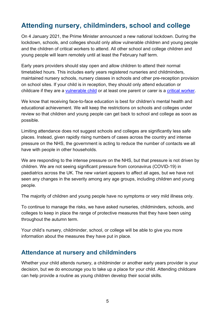## <span id="page-4-0"></span>**Attending nursery, childminders, school and college**

On 4 January 2021, the Prime Minister announced a new national lockdown. During the lockdown, schools, and colleges should only allow vulnerable children and young people and the children of critical workers to attend. All other school and college children and young people will learn remotely until at least the February half term.

Early years providers should stay open and allow children to attend their normal timetabled hours. This includes early years registered nurseries and childminders, maintained nursery schools, nursery classes in schools and other pre-reception provision on school sites. If your child is in reception, they should only attend education or childcare if they are a [vulnerable child](https://www.gov.uk/government/publications/coronavirus-covid-19-maintaining-educational-provision/guidance-for-schools-colleges-and-local-authorities-on-maintaining-educational-provision#vulnerable-children-and-young-people) or at least one parent or carer is a [critical worker.](https://www.gov.uk/government/publications/coronavirus-covid-19-maintaining-educational-provision/guidance-for-schools-colleges-and-local-authorities-on-maintaining-educational-provision#critical-workers)

We know that receiving face-to-face education is best for children's mental health and educational achievement. We will keep the restrictions on schools and colleges under review so that children and young people can get back to school and college as soon as possible.

Limiting attendance does not suggest schools and colleges are significantly less safe places. Instead, given rapidly rising numbers of cases across the country and intense pressure on the NHS, the government is acting to reduce the number of contacts we all have with people in other households.

We are responding to the intense pressure on the NHS, but that pressure is not driven by children. We are not seeing significant pressure from coronavirus (COVID-19) in paediatrics across the UK. The new variant appears to affect all ages, but we have not seen any changes in the severity among any age groups, including children and young people.

The majority of children and young people have no symptoms or very mild illness only.

To continue to manage the risks, we have asked nurseries, childminders, schools, and colleges to keep in place the range of protective measures that they have been using throughout the autumn term.

Your child's nursery, childminder, school, or college will be able to give you more information about the measures they have put in place.

#### <span id="page-4-1"></span>**Attendance at nursery and childminders**

Whether your child attends nursery, a childminder or another early years provider is your decision, but we do encourage you to take up a place for your child. Attending childcare can help provide a routine as young children develop their social skills.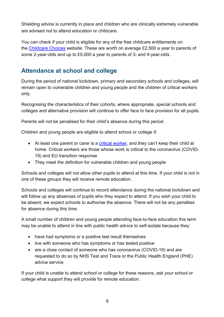Shielding advice is currently in place and children who are clinically extremely vulnerable are advised not to attend education or childcare.

You can check if your child is eligible for any of the free childcare entitlements on the [Childcare Choices](https://www.childcarechoices.gov.uk/) website. These are worth on average £2,500 a year to parents of some 2-year-olds and up to £5,000 a year to parents of 3- and 4-year-olds.

### <span id="page-5-0"></span>**Attendance at school and college**

During the period of national lockdown, primary and secondary schools and colleges, will remain open to vulnerable children and young people and the children of critical workers only.

Recognising the characteristics of their cohorts, where appropriate, special schools and colleges and alternative provision will continue to offer face to face provision for all pupils.

Parents will not be penalised for their child's absence during this period.

Children and young people are eligible to attend school or college if:

- At least one parent or carer is a [critical worker,](https://www.gov.uk/government/publications/coronavirus-covid-19-maintaining-educational-provision/guidance-for-schools-colleges-and-local-authorities-on-maintaining-educational-provision) and they can't keep their child at home. Critical workers are those whose work is critical to the coronavirus (COVID-19) and EU transition response
- They meet the definition for [vulnerable children and young people](https://www.gov.uk/government/publications/coronavirus-covid-19-maintaining-educational-provision/guidance-for-schools-colleges-and-local-authorities-on-maintaining-educational-provision#vulnerable-children-and-young-people)

Schools and colleges will not allow other pupils to attend at this time. If your child is not in one of these groups they will receive remote education.

Schools and colleges will continue to record attendance during the national lockdown and will follow up any absences of pupils who they expect to attend. If you wish your child to be absent, we expect schools to authorise the absence. There will not be any penalties for absence during this time.

A small number of children and young people attending face-to-face education this term may be unable to attend in line with public health advice to self-isolate because they:

- have had symptoms or a positive test result themselves
- live with someone who has symptoms or has tested positive
- are a close contact of someone who has coronavirus (COVID-19) and are requested to do so by NHS Test and Trace or the Public Health England (PHE) advice service

If your child is unable to attend school or college for these reasons, ask your school or college what support they will provide for remote education.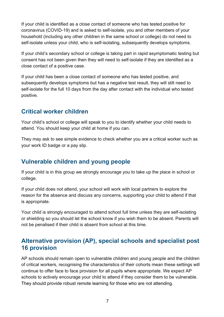If your child is identified as a close contact of someone who has tested positive for coronavirus (COVID-19) and is asked to self-isolate, you and other members of your household (including any other children in the same school or college) do not need to self-isolate unless your child, who is self-isolating, subsequently develops symptoms.

If your child's secondary school or college is taking part in rapid asymptomatic testing but consent has not been given then they will need to self-isolate if they are identified as a close contact of a positive case.

If your child has been a close contact of someone who has tested positive, and subsequently develops symptoms but has a negative test result, they will still need to self-isolate for the full 10 days from the day after contact with the individual who tested positive.

#### <span id="page-6-0"></span>**Critical worker children**

Your child's school or college will speak to you to identify whether your child needs to attend. You should keep your child at home if you can.

They may ask to see simple evidence to check whether you are a critical worker such as your work ID badge or a pay slip.

#### <span id="page-6-1"></span>**Vulnerable children and young people**

If your child is in this group we strongly encourage you to take up the place in school or college.

If your child does not attend, your school will work with local partners to explore the reason for the absence and discuss any concerns, supporting your child to attend if that is appropriate.

Your child is strongly encouraged to attend school full time unless they are self-isolating or shielding so you should let the school know if you wish them to be absent. Parents will not be penalised if their child is absent from school at this time.

#### <span id="page-6-2"></span>**Alternative provision (AP), special schools and specialist post 16 provision**

AP schools should remain open to vulnerable children and young people and the children of critical workers, recognising the characteristics of their cohorts mean these settings will continue to offer face to face provision for all pupils where appropriate. We expect AP schools to actively encourage your child to attend if they consider them to be vulnerable. They should provide robust remote learning for those who are not attending.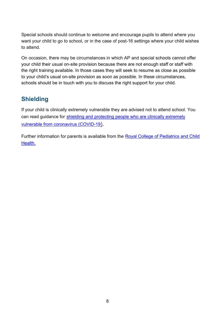Special schools should continue to welcome and encourage pupils to attend where you want your child to go to school, or in the case of post-16 settings where your child wishes to attend.

On occasion, there may be circumstances in which AP and special schools cannot offer your child their usual on-site provision because there are not enough staff or staff with the right training available. In those cases they will seek to resume as close as possible to your child's usual on-site provision as soon as possible. In these circumstances, schools should be in touch with you to discuss the right support for your child.

#### <span id="page-7-0"></span>**Shielding**

If your child is clinically extremely vulnerable they are advised not to attend school. You can read guidance for [shielding and protecting people who are clinically extremely](https://www.gov.uk/government/publications/guidance-on-shielding-and-protecting-extremely-vulnerable-persons-from-covid-19/guidance-on-shielding-and-protecting-extremely-vulnerable-persons-from-covid-19)  [vulnerable from coronavirus \(COVID-19\).](https://www.gov.uk/government/publications/guidance-on-shielding-and-protecting-extremely-vulnerable-persons-from-covid-19/guidance-on-shielding-and-protecting-extremely-vulnerable-persons-from-covid-19)

Further information for parents is available from the Royal College of Pediatrics and Child [Health.](https://www.rcpch.ac.uk/resources/covid-19-resources-parents-carers)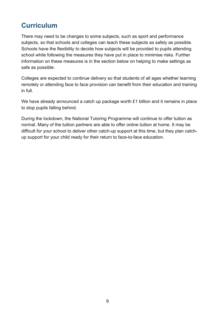## <span id="page-8-0"></span>**Curriculum**

There may need to be changes to some subjects, such as sport and performance subjects, so that schools and colleges can teach these subjects as safely as possible. Schools have the flexibility to decide how subjects will be provided to pupils attending school while following the measures they have put in place to minimise risks. Further information on these measures is in the section below on helping to make settings as safe as possible.

Colleges are expected to continue delivery so that students of all ages whether learning remotely or attending face to face provision can benefit from their education and training in full.

We have already announced a catch up package worth £1 billion and it remains in place to stop pupils falling behind.

During the lockdown, the National Tutoring Programme will continue to offer tuition as normal. Many of the tuition partners are able to offer online tuition at home. It may be difficult for your school to deliver other catch-up support at this time, but they plan catchup support for your child ready for their return to face-to-face education.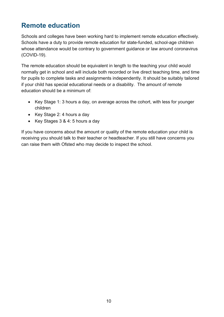## <span id="page-9-0"></span>**Remote education**

Schools and colleges have been working hard to implement remote education effectively. Schools have a duty to provide remote education for state-funded, school-age children whose attendance would be contrary to government guidance or law around coronavirus (COVID-19).

The remote education should be equivalent in length to the teaching your child would normally get in school and will include both recorded or live direct teaching time, and time for pupils to complete tasks and assignments independently. It should be suitably tailored if your child has special educational needs or a disability. The amount of remote education should be a minimum of:

- Key Stage 1: 3 hours a day, on average across the cohort, with less for younger children
- Key Stage 2: 4 hours a day
- Key Stages 3 & 4: 5 hours a day

If you have concerns about the amount or quality of the remote education your child is receiving you should talk to their teacher or headteacher. If you still have concerns you can raise them with Ofsted who may decide to inspect the school.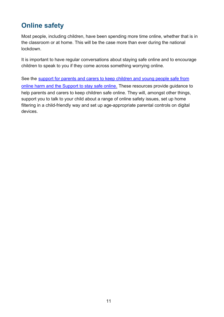## <span id="page-10-0"></span>**Online safety**

Most people, including children, have been spending more time online, whether that is in the classroom or at home. This will be the case more than ever during the national lockdown.

It is important to have regular conversations about staying safe online and to encourage children to speak to you if they come across something worrying online.

See the support for parents and carers to keep children and young people safe from [online harm](https://www.gov.uk/government/publications/coronavirus-covid-19-keeping-children-safe-online/coronavirus-covid-19-support-for-parents-and-carers-to-keep-children-safe-online) and the Support to [stay safe online.](https://www.gov.uk/guidance/covid-19-staying-safe-online) These resources provide guidance to help parents and carers to keep children safe online. They will, amongst other things, support you to talk to your child about a range of online safety issues, set up home filtering in a child-friendly way and set up age-appropriate parental controls on digital devices.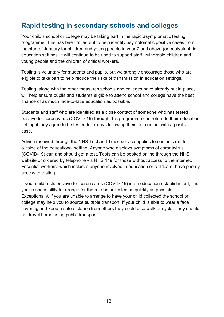## <span id="page-11-0"></span>**Rapid testing in secondary schools and colleges**

Your child's school or college may be taking part in the rapid asymptomatic testing programme. This has been rolled out to help identify asymptomatic positive cases from the start of January for children and young people in year 7 and above (or equivalent) in education settings. It will continue to be used to support staff, vulnerable children and young people and the children of critical workers.

Testing is voluntary for students and pupils, but we strongly encourage those who are eligible to take part to help reduce the risks of transmission in education settings.

Testing, along with the other measures schools and colleges have already put in place, will help ensure pupils and students eligible to attend school and college have the best chance of as much face-to-face education as possible.

Students and staff who are identified as a close contact of someone who has tested positive for coronavirus (COVID-19) through this programme can return to their education setting if they agree to be tested for 7 days following their last contact with a positive case.

Advice received through the NHS Test and Trace service applies to contacts made outside of the educational setting. Anyone who displays symptoms of coronavirus (COVID-19) can and should get a test. Tests can be booked online through the [NHS](https://www.nhs.uk/conditions/coronavirus-covid-19/testing-and-tracing/)  [website](https://www.nhs.uk/conditions/coronavirus-covid-19/testing-and-tracing/) or ordered by telephone via NHS 119 for those without access to the internet. Essential workers, which includes anyone involved in education or childcare, have [priority](https://www.gov.uk/apply-coronavirus-test-essential-workers)  [access to testing.](https://www.gov.uk/apply-coronavirus-test-essential-workers)

If your child tests positive for coronavirus (COVID-19) in an education establishment, it is your responsibility to arrange for them to be collected as quickly as possible. Exceptionally, if you are unable to arrange to have your child collected the school or college may help you to source suitable transport. If your child is able to wear a face covering and keep a safe distance from others they could also walk or cycle. They should not travel home using public transport.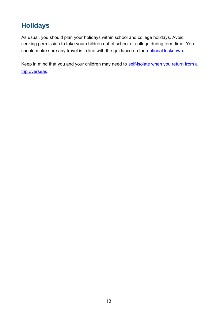## <span id="page-12-0"></span>**Holidays**

As usual, you should plan your holidays within school and college holidays. Avoid seeking permission to take your children out of school or college during term time. You should make sure any travel is in line with the guidance on the [national lockdown.](https://www.gov.uk/guidance/national-lockdown-stay-at-home#travel)

Keep in mind that you and your children may need to self-isolate when you return from a [trip overseas.](https://www.gov.uk/government/publications/coronavirus-covid-19-how-to-self-isolate-when-you-travel-to-the-uk/coronavirus-covid-19-how-to-self-isolate-when-you-travel-to-the-uk)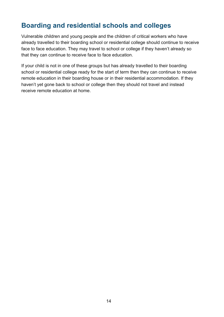## <span id="page-13-0"></span>**Boarding and residential schools and colleges**

Vulnerable children and young people and the children of critical workers who have already travelled to their boarding school or residential college should continue to receive face to face education. They may travel to school or college if they haven't already so that they can continue to receive face to face education.

If your child is not in one of these groups but has already travelled to their boarding school or residential college ready for the start of term then they can continue to receive remote education in their boarding house or in their residential accommodation. If they haven't yet gone back to school or college then they should not travel and instead receive remote education at home.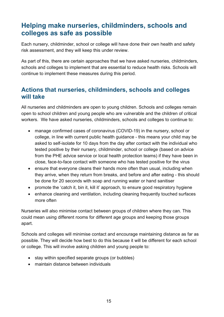## <span id="page-14-0"></span>**Helping make nurseries, childminders, schools and colleges as safe as possible**

Each nursery, childminder, school or college will have done their own health and safety risk assessment, and they will keep this under review.

As part of this, there are certain approaches that we have asked nurseries, childminders, schools and colleges to implement that are essential to reduce health risks. Schools will continue to implement these measures during this period.

#### <span id="page-14-1"></span>**Actions that nurseries, childminders, schools and colleges will take**

All nurseries and childminders are open to young children. Schools and colleges remain open to school children and young people who are vulnerable and the children of critical workers. We have asked nurseries, childminders, schools and colleges to continue to:

- manage confirmed cases of coronavirus (COVID-19) in the nursery, school or college, in line with current public health guidance - this means your child may be asked to self-isolate for 10 days from the day after contact with the individual who tested positive by their nursery, childminder, school or college (based on advice from the PHE advice service or local health protection teams) if they have been in close, face-to-face contact with someone who has tested positive for the virus
- ensure that everyone cleans their hands more often than usual, including when they arrive, when they return from breaks, and before and after eating - this should be done for 20 seconds with soap and running water or hand sanitiser
- promote the 'catch it, bin it, kill it' approach, to ensure good respiratory hygiene
- enhance cleaning and ventilation, including cleaning frequently touched surfaces more often

Nurseries will also minimise contact between groups of children where they can. This could mean using different rooms for different age groups and keeping those groups apart.

Schools and colleges will minimise contact and encourage maintaining distance as far as possible. They will decide how best to do this because it will be different for each school or college. This will involve asking children and young people to:

- stay within specified separate groups (or bubbles)
- maintain distance between individuals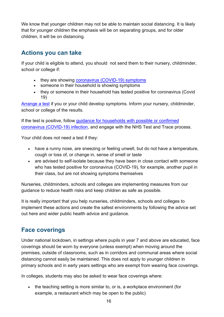We know that younger children may not be able to maintain social distancing. It is likely that for younger children the emphasis will be on separating groups, and for older children, it will be on distancing.

#### <span id="page-15-0"></span>**Actions you can take**

If your child is eligible to attend, you should not send them to their nursery, childminder, school or college if:

- they are showing [coronavirus \(COVID-19\) symptoms](https://www.nhs.uk/conditions/coronavirus-covid-19/symptoms/)
- someone in their household is showing symptoms
- they or someone in their household has tested positive for coronavirus (Covid 19)

[Arrange a test](https://www.nhs.uk/conditions/coronavirus-covid-19/testing-and-tracing/) if you or your child develop symptoms. Inform your nursery, childminder, school or college of the results.

If the test is positive, follow [guidance for households with possible or confirmed](https://www.gov.uk/government/publications/covid-19-stay-at-home-guidance)  [coronavirus \(COVID-19\) infection,](https://www.gov.uk/government/publications/covid-19-stay-at-home-guidance) and engage with the NHS Test and Trace process.

Your child does not need a test if they:

- have a runny nose, are sneezing or feeling unwell, but do not have a temperature, cough or loss of, or change in, sense of smell or taste
- are advised to self-isolate because they have been in close contact with someone who has tested positive for coronavirus (COVID-19), for example, another pupil in their class, but are not showing symptoms themselves

Nurseries, childminders, schools and colleges are implementing measures from our guidance to reduce health risks and keep children as safe as possible.

It is really important that you help nurseries, childminders, schools and colleges to implement these actions and create the safest environments by following the advice set out here and wider public health advice and guidance.

#### <span id="page-15-1"></span>**Face coverings**

Under national lockdown, in settings where pupils in year 7 and above are educated, face coverings should be worn by everyone (unless exempt) when moving around the premises, outside of classrooms, such as in corridors and communal areas where social distancing cannot easily be maintained. This does not apply to younger children in primary schools and in early years settings who are exempt from wearing face coverings.

In colleges, students may also be asked to wear face coverings where:

• the teaching setting is more similar to, or is, a workplace environment (for example, a restaurant which may be open to the public)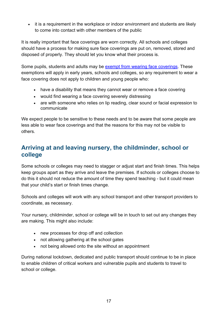• it is a requirement in the workplace or indoor environment and students are likely to come into contact with other members of the public

It is really important that face coverings are worn correctly. All schools and colleges should have a process for making sure face coverings are put on, removed, stored and disposed of properly. They should let you know what their process is.

Some pupils, students and adults may be [exempt from wearing face coverings.](https://www.gov.uk/government/publications/face-coverings-when-to-wear-one-and-how-to-make-your-own/face-coverings-when-to-wear-one-and-how-to-make-your-own#exemptions) These exemptions will apply in early years, schools and colleges, so any requirement to wear a face covering does not apply to children and young people who:

- have a disability that means they cannot wear or remove a face covering
- would find wearing a face covering severely distressing
- are with someone who relies on lip reading, clear sound or facial expression to communicate

We expect people to be sensitive to these needs and to be aware that some people are less able to wear face coverings and that the reasons for this may not be visible to others.

#### <span id="page-16-0"></span>**Arriving at and leaving nursery, the childminder, school or college**

Some schools or colleges may need to stagger or adjust start and finish times. This helps keep groups apart as they arrive and leave the premises. If schools or colleges choose to do this it should not reduce the amount of time they spend teaching - but it could mean that your child's start or finish times change.

Schools and colleges will work with any school transport and other transport providers to coordinate, as necessary.

Your nursery, childminder, school or college will be in touch to set out any changes they are making. This might also include:

- new processes for drop off and collection
- not allowing gathering at the school gates
- not being allowed onto the site without an appointment

During national lockdown, dedicated and public transport should continue to be in place to enable children of critical workers and vulnerable pupils and students to travel to school or college.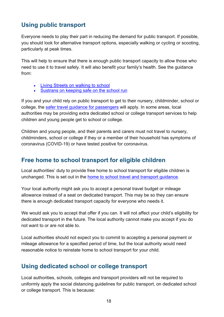#### <span id="page-17-0"></span>**Using public transport**

Everyone needs to play their part in reducing the demand for public transport. If possible, you should look for alternative transport options, especially walking or cycling or scooting, particularly at peak times.

This will help to ensure that there is enough public transport capacity to allow those who need to use it to travel safely. It will also benefit your family's health. See the guidance from:

- [Living Streets on walking](https://www.livingstreets.org.uk/walk-to-school/parents-and-carers) to school
- [Sustrans on keeping safe on the school run](https://www.sustrans.org.uk/our-blog/get-active/2020/everyday-walking-and-cycling/heading-back-to-school-after-lockdown-advice-for-families/)

If you and your child rely on public transport to get to their nursery, childminder, school or college, the [safer travel guidance for passengers](https://www.gov.uk/guidance/coronavirus-covid-19-safer-travel-guidance-for-passengers) will apply. In some areas, local authorities may be providing extra dedicated school or college transport services to help children and young people get to school or college.

Children and young people, and their parents and carers must not travel to nursery, childminders, school or college if they or a member of their household has symptoms of coronavirus (COVID-19) or have tested positive for coronavirus.

#### <span id="page-17-1"></span>**Free home to school transport for eligible children**

Local authorities' duty to provide free home to school transport for eligible children is unchanged. This is set out in the [home to school travel and transport guidance.](https://www.gov.uk/government/publications/transport-to-school-and-other-places-of-education-autumn-term-2020)

Your local authority might ask you to accept a personal travel budget or mileage allowance instead of a seat on dedicated transport. This may be so they can ensure there is enough dedicated transport capacity for everyone who needs it.

We would ask you to accept that offer if you can. It will not affect your child's eligibility for dedicated transport in the future. The local authority cannot make you accept if you do not want to or are not able to.

Local authorities should not expect you to commit to accepting a personal payment or mileage allowance for a specified period of time, but the local authority would need reasonable notice to reinstate home to school transport for your child.

#### <span id="page-17-2"></span>**Using dedicated school or college transport**

Local authorities, schools, colleges and transport providers will not be required to uniformly apply the social distancing guidelines for public transport, on dedicated school or college transport. This is because: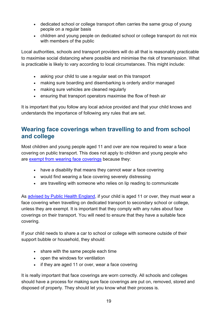- dedicated school or college transport often carries the same group of young people on a regular basis
- children and young people on dedicated school or college transport do not mix with members of the public

Local authorities, schools and transport providers will do all that is reasonably practicable to maximise social distancing where possible and minimise the risk of transmission. What is practicable is likely to vary according to local circumstances. This might include:

- asking your child to use a regular seat on this transport
- making sure boarding and disembarking is orderly and/or managed
- making sure vehicles are cleaned regularly
- ensuring that transport operators maximise the flow of fresh air

It is important that you follow any local advice provided and that your child knows and understands the importance of following any rules that are set.

#### <span id="page-18-0"></span>**Wearing face coverings when travelling to and from school and college**

Most children and young people aged 11 and over are now required to wear a face covering on public transport. This does not apply to children and young people who are [exempt from wearing face coverings](https://www.gov.uk/government/publications/face-coverings-when-to-wear-one-and-how-to-make-your-own/face-coverings-when-to-wear-one-and-how-to-make-your-own#exemptions) because they:

- have a disability that means they cannot wear a face covering
- would find wearing a face covering severely distressing
- are travelling with someone who relies on lip reading to communicate

As [advised by Public Health England,](https://www.gov.uk/government/publications/face-coverings-when-to-wear-one-and-how-to-make-your-own/face-coverings-when-to-wear-one-and-how-to-make-your-own#when-to-wear-a-face-covering) if your child is aged 11 or over, they must wear a face covering when travelling on dedicated transport to secondary school or college, unless they are exempt. It is important that they comply with any rules about face coverings on their transport. You will need to ensure that they have a suitable face covering.

If your child needs to share a car to school or college with someone outside of their support bubble or household, they should:

- share with the same people each time
- open the windows for ventilation
- if they are aged 11 or over, wear a face covering

It is really important that face coverings are worn correctly. All schools and colleges should have a process for making sure face coverings are put on, removed, stored and disposed of properly. They should let you know what their process is.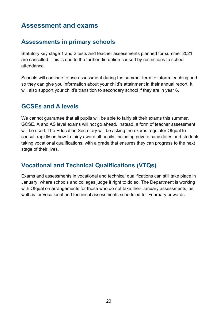## <span id="page-19-0"></span>**Assessment and exams**

#### <span id="page-19-1"></span>**Assessments in primary schools**

Statutory key stage 1 and 2 tests and teacher assessments planned for summer 2021 are cancelled. This is due to the further disruption caused by restrictions to school attendance.

Schools will continue to use assessment during the summer term to inform teaching and so they can give you information about your child's attainment in their annual report. It will also support your child's transition to secondary school if they are in year 6.

#### <span id="page-19-2"></span>**GCSEs and A levels**

We cannot quarantee that all pupils will be able to fairly sit their exams this summer. GCSE, A and AS level exams will not go ahead. Instead, a form of teacher assessment will be used. The Education Secretary will be asking the exams regulator Ofqual to consult rapidly on how to fairly award all pupils, including private candidates and students taking vocational qualifications, with a grade that ensures they can progress to the next stage of their lives.

#### <span id="page-19-3"></span>**Vocational and Technical Qualifications (VTQs)**

Exams and assessments in vocational and technical qualifications can still take place in January, where schools and colleges judge it right to do so. The Department is working with Ofqual on arrangements for those who do not take their January assessments, as well as for vocational and technical assessments scheduled for February onwards.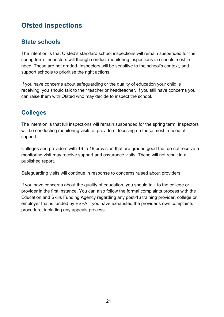## <span id="page-20-0"></span>**Ofsted inspections**

#### <span id="page-20-1"></span>**State schools**

The intention is that Ofsted's standard school inspections will remain suspended for the spring term. Inspectors will though conduct monitoring inspections in schools most in need. These are not graded. Inspectors will be sensitive to the school's context, and support schools to prioritise the right actions.

If you have concerns about safeguarding or the quality of education your child is receiving, you should talk to their teacher or headteacher. If you still have concerns you can raise them with Ofsted who may decide to inspect the school.

#### <span id="page-20-2"></span>**Colleges**

The intention is that full inspections will remain suspended for the spring term. Inspectors will be conducting monitoring visits of providers, focusing on those most in need of support.

Colleges and providers with 16 to 19 provision that are graded good that do not receive a monitoring visit may receive support and assurance visits. These will not result in a published report.

Safeguarding visits will continue in response to concerns raised about providers.

If you have concerns about the quality of education, you should talk to the college or provider in the first instance. You can also follow the formal complaints process with the Education and Skills Funding Agency regarding any post-16 training provider, college or employer that is funded by ESFA if you have exhausted the provider's own complaints procedure, including any appeals process.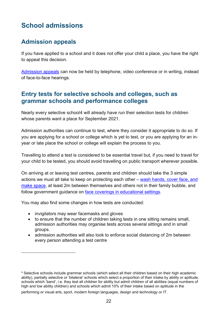## <span id="page-21-0"></span>**School admissions**

#### <span id="page-21-1"></span>**Admission appeals**

If you have applied to a school and it does not offer your child a place, you have the right to appeal this decision.

[Admission appeals](https://www.gov.uk/government/publications/school-admissions-appeals-code/changes-to-the-school-admission-appeals-code-regulations-during-the-coronavirus-outbreak) can now be held by telephone, video conference or in writing, instead of face-to-face hearings.

#### <span id="page-21-2"></span>**Entry tests for selective schools and colleges, such as grammar schools and performance colleges**

Nearly every selective school[4](#page-21-3) will already have run their selection tests for children whose parents want a place for September 2021.

Admission authorities can continue to test, where they consider it appropriate to do so. If you are applying for a school or college which is yet to test, or you are applying for an inyear or late place the school or college will explain the process to you.

Travelling to attend a test is considered to be essential travel but, if you need to travel for your child to be tested, you should avoid travelling on public transport wherever possible.

On arriving at or leaving test centres, parents and children should take the 3 simple actions we must all take to keep on protecting each other – [wash hands, cover face, and](https://www.gov.uk/guidance/national-lockdown-stay-at-home#hands-face-space)  [make space,](https://www.gov.uk/guidance/national-lockdown-stay-at-home#hands-face-space) at least 2m between themselves and others not in their family bubble, and follow government guidance on [face coverings in educational settings.](https://www.gov.uk/government/publications/face-coverings-in-education/face-coverings-in-education)

You may also find some changes in how tests are conducted:

- invigilators may wear facemasks and gloves
- to ensure that the number of children taking tests in one sitting remains small, admission authorities may organise tests across several sittings and in small groups.
- admission authorities will also look to enforce social distancing of 2m between every person attending a test centre

performing or visual arts, sport, modern foreign languages, design and technology or IT.

<span id="page-21-3"></span><sup>4</sup> Selective schools include grammar schools (which select all their children based on their high academic ability), partially selective or 'bilateral' schools which select a proportion of their intake by ability or aptitude, schools which 'band', i.e. they test all children for ability but admit children of all abilities (equal numbers of high and low ability children) and schools which admit 10% of their intake based on aptitude in the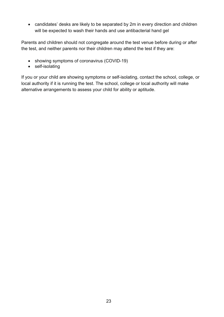• candidates' desks are likely to be separated by 2m in every direction and children will be expected to wash their hands and use antibacterial hand gel

Parents and children should not congregate around the test venue before during or after the test, and neither parents nor their children may attend the test if they are:

- showing symptoms of coronavirus (COVID-19)
- self-isolating

If you or your child are showing symptoms or self-isolating, contact the school, college, or local authority if it is running the test. The school, college or local authority will make alternative arrangements to assess your child for ability or aptitude.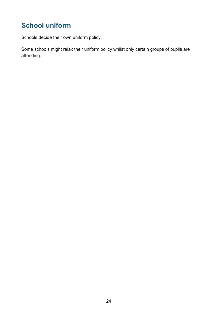## <span id="page-23-0"></span>**School uniform**

Schools decide their own uniform policy.

Some schools might relax their uniform policy whilst only certain groups of pupils are attending.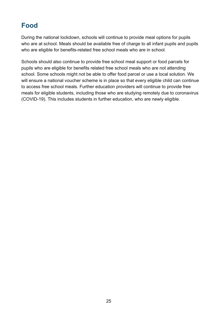## <span id="page-24-0"></span>**Food**

During the national lockdown, schools will continue to provide meal options for pupils who are at school. Meals should be available free of charge to all infant pupils and pupils who are eligible for benefits-related free school meals who are in school.

Schools should also continue to provide free school meal support or food parcels for pupils who are eligible for benefits related free school meals who are not attending school. Some schools might not be able to offer food parcel or use a local solution. We will ensure a national voucher scheme is in place so that every eligible child can continue to access free school meals. Further education providers will continue to provide free meals for eligible students, including those who are studying remotely due to coronavirus (COVID-19). This includes students in further education, who are newly eligible.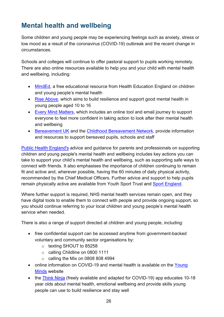## <span id="page-25-0"></span>**Mental health and wellbeing**

Some children and young people may be experiencing feelings such as anxiety, stress or low mood as a result of the coronavirus (COVID-19) outbreak and the recent change in circumstances.

Schools and colleges will continue to offer pastoral support to pupils working remotely. There are also online resources available to help you and your child with mental health and wellbeing, including:

- [MindEd,](https://www.minded.org.uk/) a free educational resource from Health Education England on children and young people's mental health
- [Rise Above,](https://campaignresources.phe.gov.uk/schools/topics/rise-above/overview) which aims to build resilience and support good mental health in young people aged 10 to 16
- [Every Mind Matters,](https://www.nhs.uk/oneyou/every-mind-matters/) which includes an online tool and email journey to support everyone to feel more confident in taking action to look after their mental health and wellbeing
- [Bereavement UK](https://www.childbereavementuk.org/) and the [Childhood Bereavement Network,](http://www.childhoodbereavementnetwork.org.uk/covid-19.aspx) provide information and resources to support bereaved pupils, schools and staff

[Public Health England's](https://www.gov.uk/government/publications/covid-19-guidance-on-supporting-children-and-young-peoples-mental-health-and-wellbeing) advice and guidance for parents and professionals on supporting children and young people's mental health and wellbeing includes key actions you can take to support your child's mental health and wellbeing, such as supporting safe ways to connect with friends. It also emphasises the importance of children continuing to remain fit and active and, wherever possible, having the 60 minutes of daily physical activity, recommended by the Chief Medical Officers. Further advice and support to help pupils remain physically active are available from [Youth Sport Trust](https://www.youthsporttrust.org/coronavirus-support) and [Sport England.](https://www.sportengland.org/)

Where further support is required, NHS mental health services remain open, and they have digital tools to enable them to connect with people and provide ongoing support, so you should continue referring to your local children and young people's mental health service when needed.

There is also a range of support directed at children and young people, including:

- free confidential support can be accessed anytime from government-backed voluntary and community sector organisations by:
	- o texting SHOUT to 85258
	- o calling Childline on 0800 1111
	- $\circ$  calling the Mix on 0808 808 4994
- online information on COVID-19 and mental health is available on the Young [Minds](https://youngminds.org.uk/about-us/reports/coronavirus-impact-on-young-people-with-mental-health-needs/) website
- the [Think Ninja](https://www.healios.org.uk/services/thinkninja1) (freely available and adapted for COVID-19) app educates 10-18 year olds about mental health, emotional wellbeing and provide skills young people can use to build resilience and stay well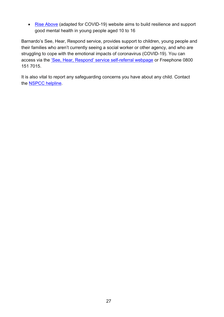• [Rise Above](https://campaignresources.phe.gov.uk/schools/topics/rise-above/overview) (adapted for COVID-19) website aims to build resilience and support good mental health in young people aged 10 to 16

Barnardo's See, Hear, Respond service, provides support to children, young people and their families who aren't currently seeing a social worker or other agency, and who are struggling to cope with the emotional impacts of coronavirus (COVID-19). You can access via the ['See, Hear, Respond' service self-referral webpage](https://www.barnardos.org.uk/c19) or Freephone 0800 151 7015.

It is also vital to report any safeguarding concerns you have about any child. Contact the [NSPCC helpline.](https://www.nspcc.org.uk/keeping-children-safe/reporting-abuse/dedicated-helplines/)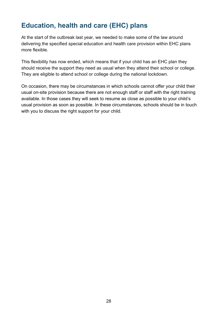## <span id="page-27-0"></span>**Education, health and care (EHC) plans**

At the start of the outbreak last year, we needed to make some of the law around delivering the specified special education and health care provision within EHC plans more flexible.

This flexibility has now ended, which means that if your child has an EHC plan they should receive the support they need as usual when they attend their school or college. They are eligible to attend school or college during the national lockdown.

On occasion, there may be circumstances in which schools cannot offer your child their usual on-site provision because there are not enough staff or staff with the right training available. In those cases they will seek to resume as close as possible to your child's usual provision as soon as possible. In these circumstances, schools should be in touch with you to discuss the right support for your child.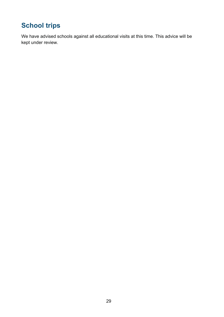# <span id="page-28-0"></span>**School trips**

We have advised schools against all educational visits at this time. This advice will be kept under review.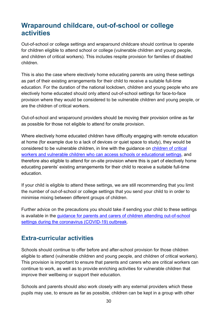## <span id="page-29-0"></span>**Wraparound childcare, out-of-school or college activities**

Out-of-school or college settings and wraparound childcare should continue to operate for children eligible to attend school or college (vulnerable children and young people, and children of critical workers). This includes respite provision for families of disabled children.

This is also the case where electively home educating parents are using these settings as part of their existing arrangements for their child to receive a suitable full-time education. For the duration of the national lockdown, children and young people who are electively home educated should only attend out-of-school settings for face-to-face provision where they would be considered to be vulnerable children and young people, or are the children of critical workers.

Out-of-school and wraparound providers should be moving their provision online as far as possible for those not eligible to attend for onsite provision.

Where electively home educated children have difficulty engaging with remote education at home (for example due to a lack of devices or quiet space to study), they would be considered to be vulnerable children, in line with the guidance on children of critical workers and vulnerable children who can access schools or educational settings, and therefore also eligible to attend for on-site provision where this is part of electively home educating parents' existing arrangements for their child to receive a suitable full-time education.

If your child is eligible to attend these settings, we are still recommending that you limit the number of out-of-school or college settings that you send your child to in order to minimise mixing between different groups of children.

Further advice on the precautions you should take if sending your child to these settings is available in the guidance for parents and carers of children attending out-of-school [settings during the coronavirus \(COVID-19\) outbreak.](https://www.gov.uk/government/publications/guidance-for-parents-and-carers-of-children-attending-out-of-school-settings-during-the-coronavirus-covid-19-outbreak/guidance-for-parents-and-carers-of-children-attending-out-of-school-settings-during-the-coronavirus-covid-19-outbreak)

#### <span id="page-29-1"></span>**Extra-curricular activities**

Schools should continue to offer before and after-school provision for those children eligible to attend (vulnerable children and young people, and children of critical workers). This provision is important to ensure that parents and carers who are critical workers can continue to work, as well as to provide enriching activities for vulnerable children that improve their wellbeing or support their education.

Schools and parents should also work closely with any external providers which these pupils may use, to ensure as far as possible, children can be kept in a group with other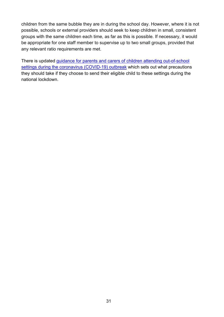children from the same bubble they are in during the school day. However, where it is not possible, schools or external providers should seek to keep children in small, consistent groups with the same children each time, as far as this is possible. If necessary, it would be appropriate for one staff member to supervise up to two small groups, provided that any relevant ratio requirements are met.

There is updated [guidance for parents and carers of children attending out-of-school](https://www.gov.uk/government/publications/guidance-for-parents-and-carers-of-children-attending-out-of-school-settings-during-the-coronavirus-covid-19-outbreak/guidance-for-parents-and-carers-of-children-attending-out-of-school-settings-during-the-coronavirus-covid-19-outbreak)  [settings during the coronavirus \(COVID-19\) outbreak](https://www.gov.uk/government/publications/guidance-for-parents-and-carers-of-children-attending-out-of-school-settings-during-the-coronavirus-covid-19-outbreak/guidance-for-parents-and-carers-of-children-attending-out-of-school-settings-during-the-coronavirus-covid-19-outbreak) which sets out what precautions they should take if they choose to send their eligible child to these settings during the national lockdown.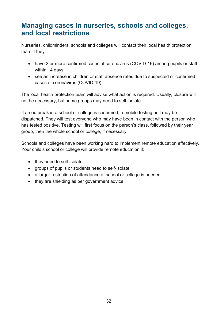## <span id="page-31-0"></span>**Managing cases in nurseries, schools and colleges, and local restrictions**

Nurseries, childminders, schools and colleges will contact their local health protection team if they:

- have 2 or more confirmed cases of coronavirus (COVID-19) among pupils or staff within 14 days
- see an increase in children or staff absence rates due to suspected or confirmed cases of coronavirus (COVID-19)

The local health protection team will advise what action is required. Usually, closure will not be necessary, but some groups may need to self-isolate.

If an outbreak in a school or college is confirmed, a mobile testing unit may be dispatched. They will test everyone who may have been in contact with the person who has tested positive. Testing will first focus on the person's class, followed by their year group, then the whole school or college, if necessary.

Schools and colleges have been working hard to implement remote education effectively. Your child's school or college will provide remote education if:

- they need to self-isolate
- groups of pupils or students need to self-isolate
- a larger restriction of attendance at school or college is needed
- they are shielding as per government advice